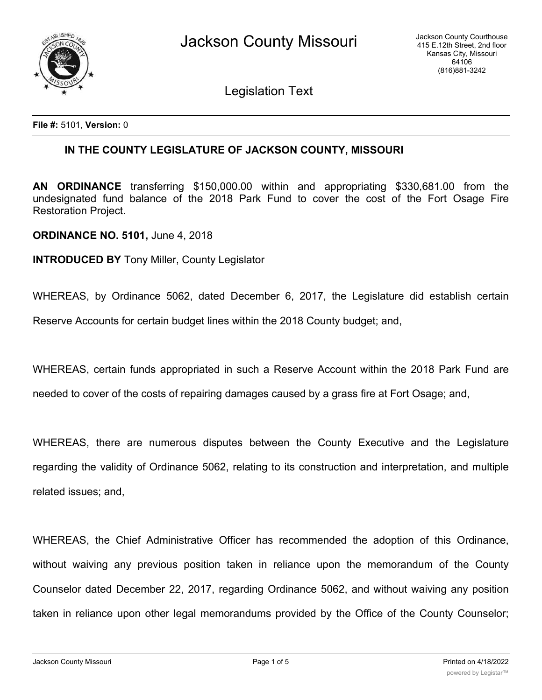

Legislation Text

**File #:** 5101, **Version:** 0

## **IN THE COUNTY LEGISLATURE OF JACKSON COUNTY, MISSOURI**

**AN ORDINANCE** transferring \$150,000.00 within and appropriating \$330,681.00 from the undesignated fund balance of the 2018 Park Fund to cover the cost of the Fort Osage Fire Restoration Project.

**ORDINANCE NO. 5101,** June 4, 2018

**INTRODUCED BY** Tony Miller, County Legislator

WHEREAS, by Ordinance 5062, dated December 6, 2017, the Legislature did establish certain Reserve Accounts for certain budget lines within the 2018 County budget; and,

WHEREAS, certain funds appropriated in such a Reserve Account within the 2018 Park Fund are needed to cover of the costs of repairing damages caused by a grass fire at Fort Osage; and,

WHEREAS, there are numerous disputes between the County Executive and the Legislature regarding the validity of Ordinance 5062, relating to its construction and interpretation, and multiple related issues; and,

WHEREAS, the Chief Administrative Officer has recommended the adoption of this Ordinance, without waiving any previous position taken in reliance upon the memorandum of the County Counselor dated December 22, 2017, regarding Ordinance 5062, and without waiving any position taken in reliance upon other legal memorandums provided by the Office of the County Counselor;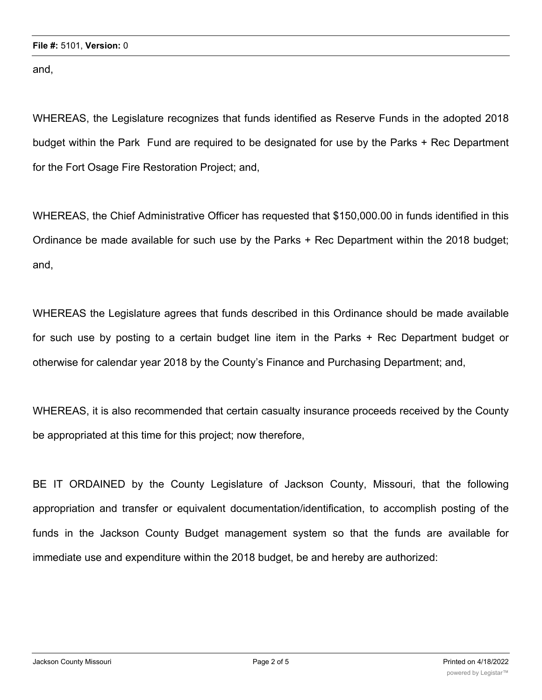and,

WHEREAS, the Legislature recognizes that funds identified as Reserve Funds in the adopted 2018 budget within the Park Fund are required to be designated for use by the Parks + Rec Department for the Fort Osage Fire Restoration Project; and,

WHEREAS, the Chief Administrative Officer has requested that \$150,000.00 in funds identified in this Ordinance be made available for such use by the Parks + Rec Department within the 2018 budget; and,

WHEREAS the Legislature agrees that funds described in this Ordinance should be made available for such use by posting to a certain budget line item in the Parks + Rec Department budget or otherwise for calendar year 2018 by the County's Finance and Purchasing Department; and,

WHEREAS, it is also recommended that certain casualty insurance proceeds received by the County be appropriated at this time for this project; now therefore,

BE IT ORDAINED by the County Legislature of Jackson County, Missouri, that the following appropriation and transfer or equivalent documentation/identification, to accomplish posting of the funds in the Jackson County Budget management system so that the funds are available for immediate use and expenditure within the 2018 budget, be and hereby are authorized: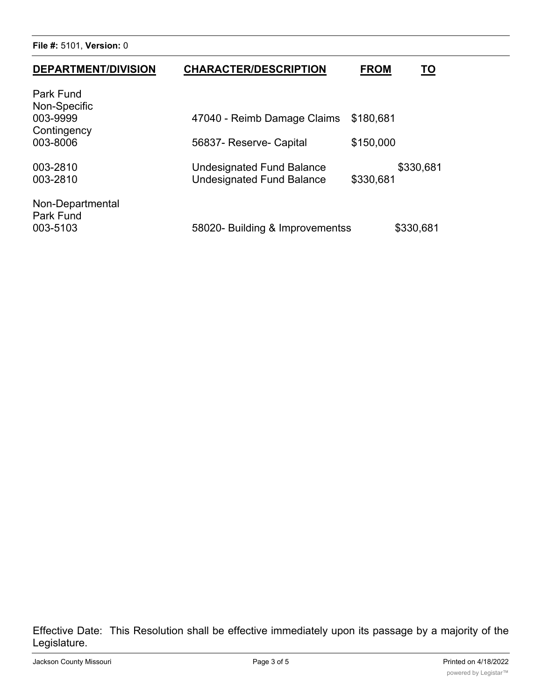**File #:** 5101, **Version:** 0

| <b>DEPARTMENT/DIVISION</b>                | <b>CHARACTER/DESCRIPTION</b>                                  | <b>FROM</b><br>ΤO      |
|-------------------------------------------|---------------------------------------------------------------|------------------------|
| Park Fund<br>Non-Specific<br>003-9999     | 47040 - Reimb Damage Claims                                   | \$180,681              |
| Contingency<br>003-8006                   | 56837- Reserve- Capital                                       | \$150,000              |
| 003-2810<br>003-2810                      | Undesignated Fund Balance<br><b>Undesignated Fund Balance</b> | \$330,681<br>\$330,681 |
| Non-Departmental<br>Park Fund<br>003-5103 | 58020- Building & Improvementss                               | \$330,681              |

Effective Date: This Resolution shall be effective immediately upon its passage by a majority of the Legislature.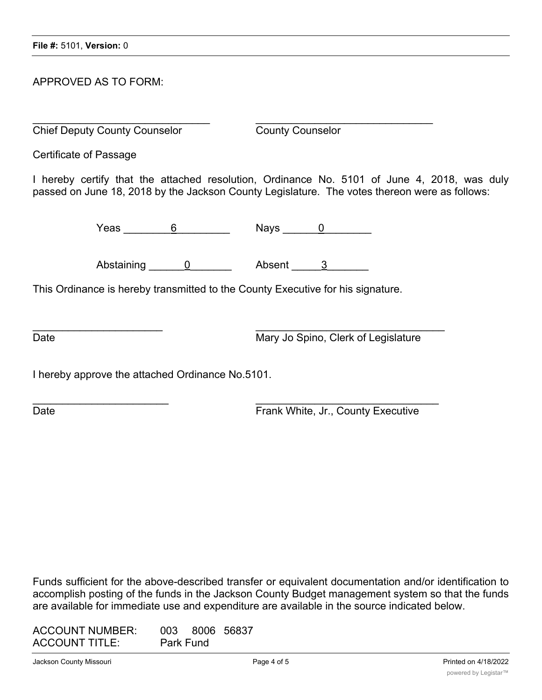## APPROVED AS TO FORM:

 $\overline{\phantom{a}}$  , and the contribution of the contribution of the contribution of the contribution of the contribution of the contribution of the contribution of the contribution of the contribution of the contribution of the **Chief Deputy County Counselor** County Counselor

Certificate of Passage

I hereby certify that the attached resolution, Ordinance No. 5101 of June 4, 2018, was duly passed on June 18, 2018 by the Jackson County Legislature. The votes thereon were as follows:

Yeas \_\_\_\_\_\_\_\_\_6 \_\_\_\_\_\_\_\_\_ Nays \_\_\_\_\_\_0 \_\_\_\_\_\_\_\_

Abstaining 0 between a Absent 2

 $\overline{\phantom{a}}$  ,  $\overline{\phantom{a}}$  ,  $\overline{\phantom{a}}$  ,  $\overline{\phantom{a}}$  ,  $\overline{\phantom{a}}$  ,  $\overline{\phantom{a}}$  ,  $\overline{\phantom{a}}$  ,  $\overline{\phantom{a}}$  ,  $\overline{\phantom{a}}$  ,  $\overline{\phantom{a}}$  ,  $\overline{\phantom{a}}$  ,  $\overline{\phantom{a}}$  ,  $\overline{\phantom{a}}$  ,  $\overline{\phantom{a}}$  ,  $\overline{\phantom{a}}$  ,  $\overline{\phantom{a}}$ 

 $\frac{1}{2}$  ,  $\frac{1}{2}$  ,  $\frac{1}{2}$  ,  $\frac{1}{2}$  ,  $\frac{1}{2}$  ,  $\frac{1}{2}$  ,  $\frac{1}{2}$  ,  $\frac{1}{2}$  ,  $\frac{1}{2}$  ,  $\frac{1}{2}$  ,  $\frac{1}{2}$  ,  $\frac{1}{2}$  ,  $\frac{1}{2}$  ,  $\frac{1}{2}$  ,  $\frac{1}{2}$  ,  $\frac{1}{2}$  ,  $\frac{1}{2}$  ,  $\frac{1}{2}$  ,  $\frac{1$ 

This Ordinance is hereby transmitted to the County Executive for his signature.

Date **Date** Mary Jo Spino, Clerk of Legislature

I hereby approve the attached Ordinance No.5101.

Date **Date Executive CONS EXECUTE:** Frank White, Jr., County Executive

Funds sufficient for the above-described transfer or equivalent documentation and/or identification to accomplish posting of the funds in the Jackson County Budget management system so that the funds are available for immediate use and expenditure are available in the source indicated below.

| <b>ACCOUNT NUMBER:</b> |                  | 003 8006 56837 |
|------------------------|------------------|----------------|
| <b>ACCOUNT TITLE:</b>  | <b>Park Fund</b> |                |